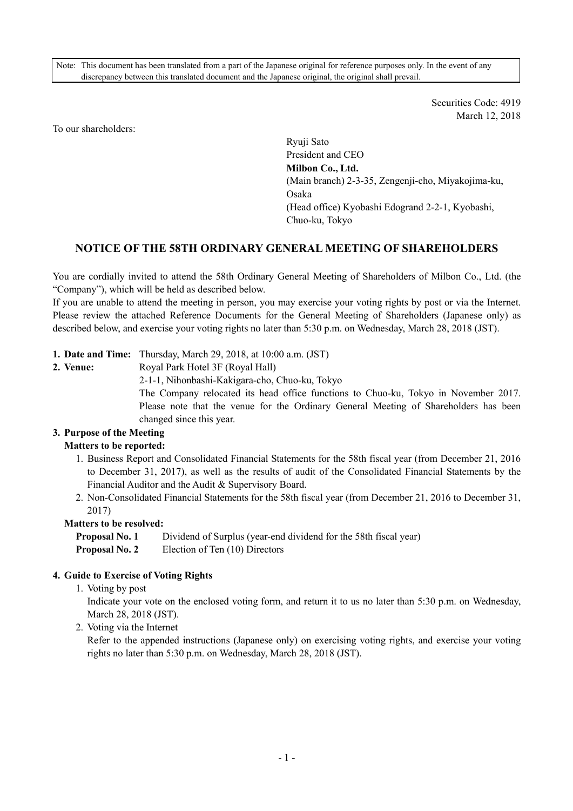Note: This document has been translated from a part of the Japanese original for reference purposes only. In the event of any discrepancy between this translated document and the Japanese original, the original shall prevail.

> Securities Code: 4919 March 12, 2018

To our shareholders:

Ryuji Sato President and CEO **Milbon Co., Ltd.**  (Main branch) 2-3-35, Zengenji-cho, Miyakojima-ku, Osaka (Head office) Kyobashi Edogrand 2-2-1, Kyobashi, Chuo-ku, Tokyo

# **NOTICE OF THE 58TH ORDINARY GENERAL MEETING OF SHAREHOLDERS**

You are cordially invited to attend the 58th Ordinary General Meeting of Shareholders of Milbon Co., Ltd. (the "Company"), which will be held as described below.

If you are unable to attend the meeting in person, you may exercise your voting rights by post or via the Internet. Please review the attached Reference Documents for the General Meeting of Shareholders (Japanese only) as described below, and exercise your voting rights no later than 5:30 p.m. on Wednesday, March 28, 2018 (JST).

## **1. Date and Time:** Thursday, March 29, 2018, at 10:00 a.m. (JST)

**2. Venue:** Royal Park Hotel 3F (Royal Hall)

2-1-1, Nihonbashi-Kakigara-cho, Chuo-ku, Tokyo The Company relocated its head office functions to Chuo-ku, Tokyo in November 2017. Please note that the venue for the Ordinary General Meeting of Shareholders has been changed since this year.

## **3. Purpose of the Meeting**

## **Matters to be reported:**

- 1. Business Report and Consolidated Financial Statements for the 58th fiscal year (from December 21, 2016 to December 31, 2017), as well as the results of audit of the Consolidated Financial Statements by the Financial Auditor and the Audit & Supervisory Board.
- 2. Non-Consolidated Financial Statements for the 58th fiscal year (from December 21, 2016 to December 31, 2017)

### **Matters to be resolved:**

**Proposal No. 1** Dividend of Surplus (year-end dividend for the 58th fiscal year) **Proposal No. 2** Election of Ten (10) Directors

## **4. Guide to Exercise of Voting Rights**

1. Voting by post

Indicate your vote on the enclosed voting form, and return it to us no later than 5:30 p.m. on Wednesday, March 28, 2018 (JST).

2. Voting via the Internet

Refer to the appended instructions (Japanese only) on exercising voting rights, and exercise your voting rights no later than 5:30 p.m. on Wednesday, March 28, 2018 (JST).